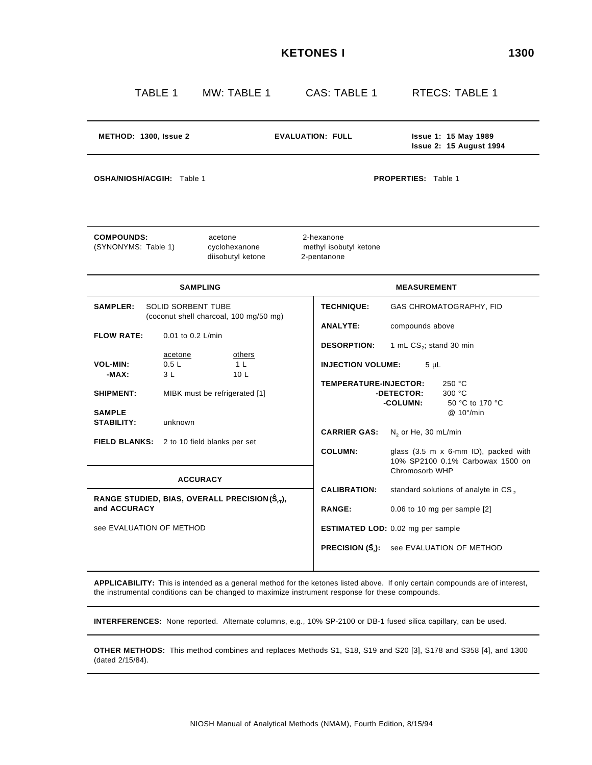| M<br>۰,<br>۰. | ×<br>۰, |
|---------------|---------|
|---------------|---------|

| METHOD: 1300, Issue 2<br><b>EVALUATION: FULL</b><br><b>Issue 1: 15 May 1989</b><br><b>Issue 2: 15 August 1994</b><br>OSHA/NIOSH/ACGIH: Table 1<br><b>PROPERTIES:</b> Table 1<br><b>COMPOUNDS:</b><br>2-hexanone<br>acetone<br>(SYNONYMS: Table 1)<br>methyl isobutyl ketone<br>cyclohexanone<br>diisobutyl ketone<br>2-pentanone<br><b>SAMPLING</b><br><b>MEASUREMENT</b><br><b>SAMPLER:</b><br>SOLID SORBENT TUBE<br><b>TECHNIQUE:</b><br>GAS CHROMATOGRAPHY, FID<br>(coconut shell charcoal, 100 mg/50 mg)<br><b>ANALYTE:</b><br>compounds above<br><b>FLOW RATE:</b><br>0.01 to 0.2 L/min<br><b>DESORPTION:</b><br>1 mL CS <sub>2</sub> ; stand 30 min<br>others<br>acetone<br>0.5L<br>1 <sub>L</sub><br><b>INJECTION VOLUME:</b><br><b>VOL-MIN:</b><br>$5 \mu L$<br>3L<br>10 <sub>L</sub><br>-MAX: |  |  |
|--------------------------------------------------------------------------------------------------------------------------------------------------------------------------------------------------------------------------------------------------------------------------------------------------------------------------------------------------------------------------------------------------------------------------------------------------------------------------------------------------------------------------------------------------------------------------------------------------------------------------------------------------------------------------------------------------------------------------------------------------------------------------------------------------------|--|--|
|                                                                                                                                                                                                                                                                                                                                                                                                                                                                                                                                                                                                                                                                                                                                                                                                        |  |  |
|                                                                                                                                                                                                                                                                                                                                                                                                                                                                                                                                                                                                                                                                                                                                                                                                        |  |  |
|                                                                                                                                                                                                                                                                                                                                                                                                                                                                                                                                                                                                                                                                                                                                                                                                        |  |  |
|                                                                                                                                                                                                                                                                                                                                                                                                                                                                                                                                                                                                                                                                                                                                                                                                        |  |  |
|                                                                                                                                                                                                                                                                                                                                                                                                                                                                                                                                                                                                                                                                                                                                                                                                        |  |  |
|                                                                                                                                                                                                                                                                                                                                                                                                                                                                                                                                                                                                                                                                                                                                                                                                        |  |  |
| TEMPERATURE-INJECTOR:<br>250 °C<br>MIBK must be refrigerated [1]<br>-DETECTOR:<br>300 °C<br><b>SHIPMENT:</b><br><b>-COLUMN:</b><br>50 °C to 170 °C<br><b>SAMPLE</b><br>$@.10^{\circ}/min$                                                                                                                                                                                                                                                                                                                                                                                                                                                                                                                                                                                                              |  |  |
| <b>STABILITY:</b><br>unknown<br><b>CARRIER GAS:</b><br>$N_2$ or He, 30 mL/min<br>2 to 10 field blanks per set<br><b>FIELD BLANKS:</b><br><b>COLUMN:</b><br>glass (3.5 m x 6-mm ID), packed with<br>10% SP2100 0.1% Carbowax 1500 on                                                                                                                                                                                                                                                                                                                                                                                                                                                                                                                                                                    |  |  |
| Chromosorb WHP<br><b>ACCURACY</b>                                                                                                                                                                                                                                                                                                                                                                                                                                                                                                                                                                                                                                                                                                                                                                      |  |  |
| <b>CALIBRATION:</b><br>standard solutions of analyte in CS <sub>2</sub><br>RANGE STUDIED, BIAS, OVERALL PRECISION $(\hat{S}_{rT})$ ,<br>and ACCURACY<br><b>RANGE:</b><br>$0.06$ to 10 mg per sample $[2]$                                                                                                                                                                                                                                                                                                                                                                                                                                                                                                                                                                                              |  |  |
| see EVALUATION OF METHOD<br><b>ESTIMATED LOD:</b> 0.02 mg per sample                                                                                                                                                                                                                                                                                                                                                                                                                                                                                                                                                                                                                                                                                                                                   |  |  |
| <b>PRECISION (S.):</b><br>see EVALUATION OF METHOD                                                                                                                                                                                                                                                                                                                                                                                                                                                                                                                                                                                                                                                                                                                                                     |  |  |

**APPLICABILITY:** This is intended as a general method for the ketones listed above. If only certain compounds are of interest, the instrumental conditions can be changed to maximize instrument response for these compounds.

**INTERFERENCES:** None reported. Alternate columns, e.g., 10% SP-2100 or DB-1 fused silica capillary, can be used.

**OTHER METHODS:** This method combines and replaces Methods S1, S18, S19 and S20 [3], S178 and S358 [4], and 1300 (dated 2/15/84).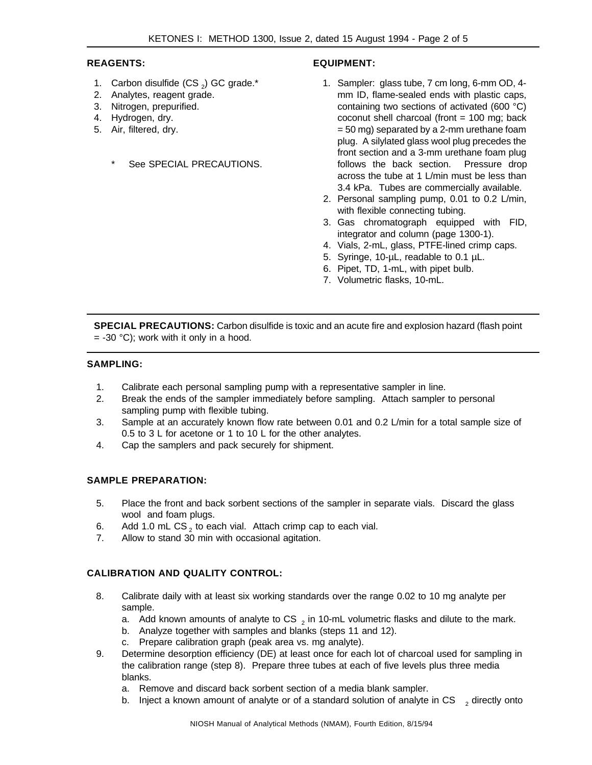# **REAGENTS:**

- 1. Carbon disulfide  $(CS_2)$  GC grade.\*
- 2. Analytes, reagent grade.
- 3. Nitrogen, prepurified.
- 4. Hydrogen, dry.
- 5. Air, filtered, dry.
	- See SPECIAL PRECAUTIONS.

# **EQUIPMENT:**

- 1. Sampler: glass tube, 7 cm long, 6-mm OD, 4 mm ID, flame-sealed ends with plastic caps, containing two sections of activated (600 °C) coconut shell charcoal (front = 100 mg; back = 50 mg) separated by a 2-mm urethane foam plug. A silylated glass wool plug precedes the front section and a 3-mm urethane foam plug follows the back section. Pressure drop across the tube at 1 L/min must be less than 3.4 kPa. Tubes are commercially available.
- 2. Personal sampling pump, 0.01 to 0.2 L/min, with flexible connecting tubing.
- 3. Gas chromatograph equipped with FID, integrator and column (page 1300-1).
- 4. Vials, 2-mL, glass, PTFE-lined crimp caps.
- 5. Syringe, 10-µL, readable to 0.1 µL.
- 6. Pipet, TD, 1-mL, with pipet bulb.
- 7. Volumetric flasks, 10-mL.

**SPECIAL PRECAUTIONS:** Carbon disulfide is toxic and an acute fire and explosion hazard (flash point  $= -30$  °C); work with it only in a hood.

### **SAMPLING:**

- 1. Calibrate each personal sampling pump with a representative sampler in line.
- 2. Break the ends of the sampler immediately before sampling. Attach sampler to personal sampling pump with flexible tubing.
- 3. Sample at an accurately known flow rate between 0.01 and 0.2 L/min for a total sample size of 0.5 to 3 L for acetone or 1 to 10 L for the other analytes.
- 4. Cap the samplers and pack securely for shipment.

# **SAMPLE PREPARATION:**

- 5. Place the front and back sorbent sections of the sampler in separate vials. Discard the glass wool and foam plugs.
- 6. Add 1.0 mL CS<sub>2</sub> to each vial. Attach crimp cap to each vial.
- 7. Allow to stand 30 min with occasional agitation.

# **CALIBRATION AND QUALITY CONTROL:**

- 8. Calibrate daily with at least six working standards over the range 0.02 to 10 mg analyte per sample.
	- a. Add known amounts of analyte to CS  $_2$  in 10-mL volumetric flasks and dilute to the mark.
	- b. Analyze together with samples and blanks (steps 11 and 12).
	- c. Prepare calibration graph (peak area vs. mg analyte).
- 9. Determine desorption efficiency (DE) at least once for each lot of charcoal used for sampling in the calibration range (step 8). Prepare three tubes at each of five levels plus three media blanks.
	- a. Remove and discard back sorbent section of a media blank sampler.
	- b. Inject a known amount of analyte or of a standard solution of analyte in CS  $_{2}$  directly onto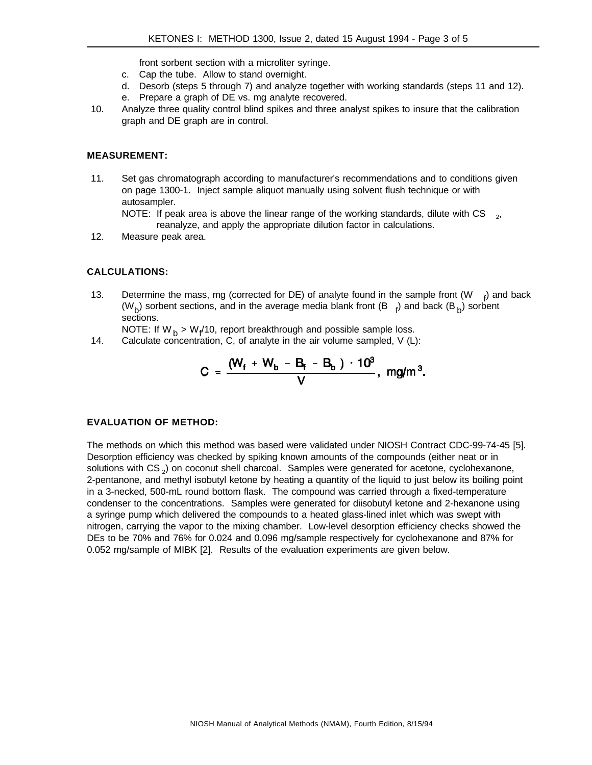front sorbent section with a microliter syringe.

- c. Cap the tube. Allow to stand overnight.
- d. Desorb (steps 5 through 7) and analyze together with working standards (steps 11 and 12). e. Prepare a graph of DE vs. mg analyte recovered.
- 10. Analyze three quality control blind spikes and three analyst spikes to insure that the calibration graph and DE graph are in control.

#### **MEASUREMENT:**

11. Set gas chromatograph according to manufacturer's recommendations and to conditions given on page 1300-1. Inject sample aliquot manually using solvent flush technique or with autosampler. NOTE: If peak area is above the linear range of the working standards, dilute with CS  $_{2}$ ,

reanalyze, and apply the appropriate dilution factor in calculations.

12. Measure peak area.

# **CALCULATIONS:**

13. Determine the mass, mg (corrected for DE) of analyte found in the sample front  $(W \rightarrow f)$  and back (W<sub>b)</sub> sorbent sections, and in the average media blank front (B  $_{\rm 4}$ ) and back (B<sub>b</sub>) sorbent sections.

NOTE: If W<sub>b</sub> > W<sub>f</sub>/10, report breakthrough and possible sample loss.

14. Calculate concentration, C, of analyte in the air volume sampled, V (L):

$$
C = \frac{(W_f + W_b - B_f - B_b) \cdot 10^3}{V}, \text{ mg/m}^3.
$$

#### **EVALUATION OF METHOD:**

The methods on which this method was based were validated under NIOSH Contract CDC-99-74-45 [5]. Desorption efficiency was checked by spiking known amounts of the compounds (either neat or in solutions with CS<sub>2</sub>) on coconut shell charcoal. Samples were generated for acetone, cyclohexanone, 2-pentanone, and methyl isobutyl ketone by heating a quantity of the liquid to just below its boiling point in a 3-necked, 500-mL round bottom flask. The compound was carried through a fixed-temperature condenser to the concentrations. Samples were generated for diisobutyl ketone and 2-hexanone using a syringe pump which delivered the compounds to a heated glass-lined inlet which was swept with nitrogen, carrying the vapor to the mixing chamber. Low-level desorption efficiency checks showed the DEs to be 70% and 76% for 0.024 and 0.096 mg/sample respectively for cyclohexanone and 87% for 0.052 mg/sample of MIBK [2]. Results of the evaluation experiments are given below.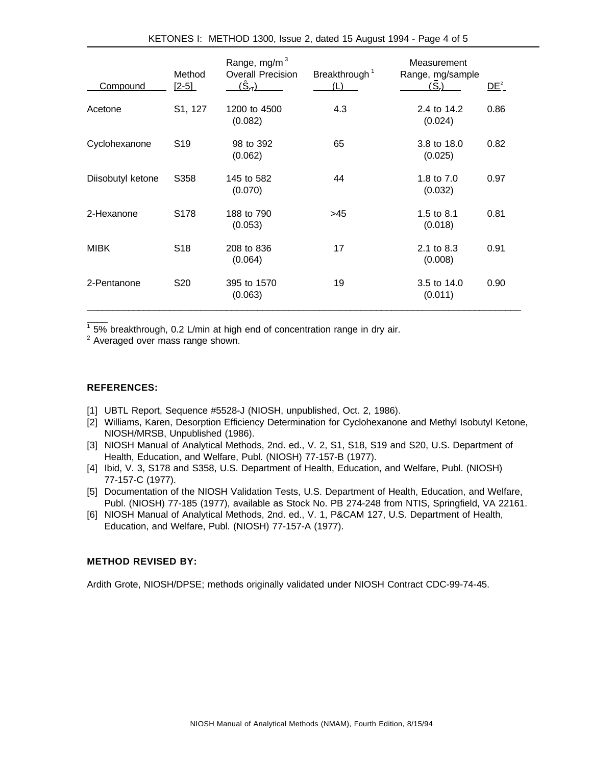| <b>Compound</b>   | Method<br>$[2-5]$ | Range, mg/m $3$<br><b>Overall Precision</b><br>$(\hat{\mathsf{S}}_{\textsf{\tiny IT}})$ | Breakthrough <sup>1</sup><br>(L) | Measurement<br>Range, mg/sample<br>(S <sub>n</sub> ) | $DE^2_-$ |
|-------------------|-------------------|-----------------------------------------------------------------------------------------|----------------------------------|------------------------------------------------------|----------|
| Acetone           | S1, 127           | 1200 to 4500<br>(0.082)                                                                 | 4.3                              | 2.4 to 14.2<br>(0.024)                               | 0.86     |
| Cyclohexanone     | S <sub>19</sub>   | 98 to 392<br>(0.062)                                                                    | 65                               | 3.8 to 18.0<br>(0.025)                               | 0.82     |
| Diisobutyl ketone | S358              | 145 to 582<br>(0.070)                                                                   | 44                               | 1.8 to 7.0<br>(0.032)                                | 0.97     |
| 2-Hexanone        | S178              | 188 to 790<br>(0.053)                                                                   | >45                              | 1.5 to $8.1$<br>(0.018)                              | 0.81     |
| <b>MIBK</b>       | S <sub>18</sub>   | 208 to 836<br>(0.064)                                                                   | 17                               | 2.1 to 8.3<br>(0.008)                                | 0.91     |
| 2-Pentanone       | S <sub>20</sub>   | 395 to 1570<br>(0.063)                                                                  | 19                               | 3.5 to 14.0<br>(0.011)                               | 0.90     |

 $1$  5% breakthrough, 0.2 L/min at high end of concentration range in dry air.

 $2$  Averaged over mass range shown.

### **REFERENCES:**

 $\overline{\phantom{a}}$ 

- [1] UBTL Report, Sequence #5528-J (NIOSH, unpublished, Oct. 2, 1986).
- [2] Williams, Karen, Desorption Efficiency Determination for Cyclohexanone and Methyl Isobutyl Ketone, NIOSH/MRSB, Unpublished (1986).
- [3] NIOSH Manual of Analytical Methods, 2nd. ed., V. 2, S1, S18, S19 and S20, U.S. Department of Health, Education, and Welfare, Publ. (NIOSH) 77-157-B (1977).
- [4] Ibid, V. 3, S178 and S358, U.S. Department of Health, Education, and Welfare, Publ. (NIOSH) 77-157-C (1977).
- [5] Documentation of the NIOSH Validation Tests, U.S. Department of Health, Education, and Welfare, Publ. (NIOSH) 77-185 (1977), available as Stock No. PB 274-248 from NTIS, Springfield, VA 22161.
- [6] NIOSH Manual of Analytical Methods, 2nd. ed., V. 1, P&CAM 127, U.S. Department of Health, Education, and Welfare, Publ. (NIOSH) 77-157-A (1977).

#### **METHOD REVISED BY:**

Ardith Grote, NIOSH/DPSE; methods originally validated under NIOSH Contract CDC-99-74-45.